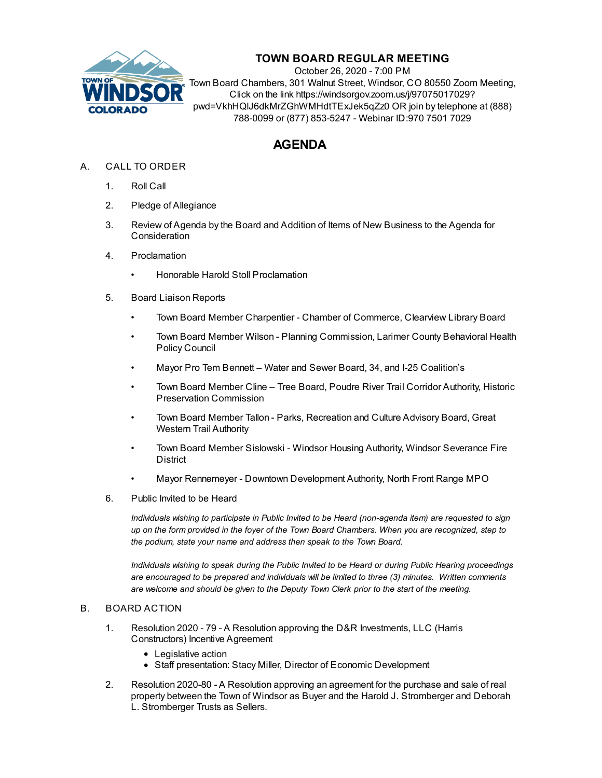

## **TOWN BOARD REGULAR MEETING**

October 26, 2020 - 7:00 PM Town Board Chambers, 301 Walnut Street, Windsor, CO 80550 Zoom Meeting, Click on the link https://windsorgov.zoom.us/j/97075017029? pwd=VkhHQlJ6dkMrZGhWMHdtTExJek5qZz0 OR join by telephone at (888) 788-0099 or (877) 853-5247 - Webinar ID:970 7501 7029

# **AGENDA**

- A. CALL TO ORDER
	- 1. Roll Call
	- 2. Pledge of Allegiance
	- 3. Review of Agenda by the Board and Addition of Items of New Business to the Agenda for **Consideration**
	- 4. Proclamation
		- Honorable Harold Stoll [Proclamation](file:///C:/Windows/TEMP/CoverSheet.aspx?ItemID=1103&MeetingID=141)
	- 5. Board Liaison Reports
		- Town Board Member Charpentier Chamber of Commerce, Clearview Library Board
		- Town Board Member Wilson Planning Commission, Larimer County Behavioral Health Policy Council
		- Mayor Pro Tem Bennett Water and Sewer Board, 34, and I-25 Coalition's
		- Town Board Member Cline Tree Board, Poudre River Trail Corridor Authority, Historic Preservation Commission
		- Town Board Member Tallon Parks, Recreation and Culture Advisory Board, Great Western Trail Authority
		- Town Board Member Sislowski Windsor Housing Authority, Windsor Severance Fire **District**
		- Mayor Rennemeyer Downtown Development Authority, North Front Range MPO
	- 6. Public Invited to be Heard

*Individuals wishing to participate in Public Invited to be Heard (non-agenda item) are requested to sign* up on the form provided in the foyer of the Town Board Chambers. When you are recognized, step to *the podium, state your name and address then speak to the Town Board.*

*Individuals wishing to speak during the Public Invited to be Heard or during Public Hearing proceedings are encouraged to be prepared and individuals will be limited to three (3) minutes. Written comments are welcome and should be given to the Deputy Town Clerk prior to the start of the meeting.*

#### B. BOARD ACTION

- 1. Resolution 2020 79 A Resolution approving the D&R Investments, LLC (Harris [Constructors\)](file:///C:/Windows/TEMP/CoverSheet.aspx?ItemID=1099&MeetingID=141) Incentive Agreement
	- Legislative action
	- Staff presentation: Stacy Miller, Director of Economic Development
- 2. Resolution 2020-80 A Resolution approving an agreement for the purchase and sale of real property between the Town of Windsor as Buyer and the Harold J. [Stromberger](file:///C:/Windows/TEMP/CoverSheet.aspx?ItemID=1100&MeetingID=141) and Deborah L. Stromberger Trusts as Sellers.